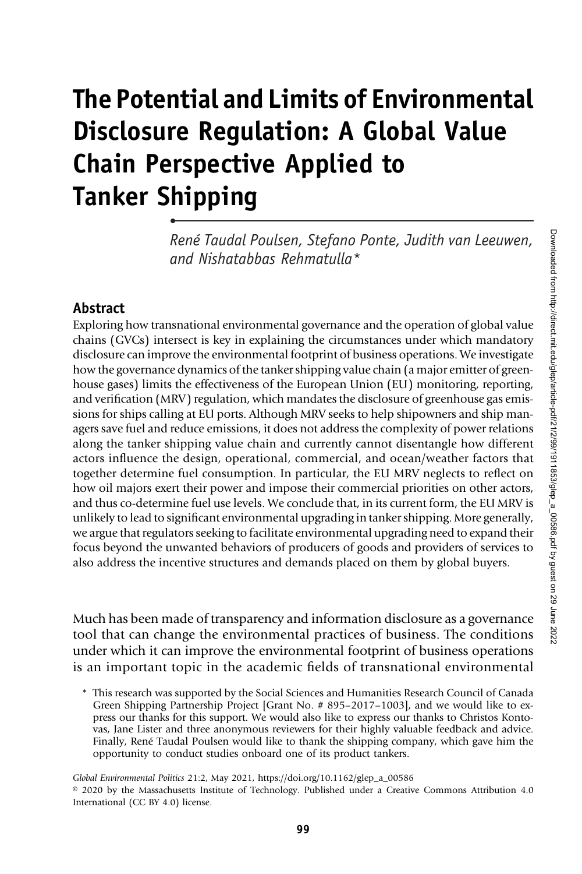# The Potential and Limits of Environmental Disclosure Regulation: A Global Value Chain Perspective Applied to Tanker Shipping

René Taudal Poulsen, Stefano Ponte, Judith van Leeuwen, and Nishatabbas Rehmatulla\*

### **Abstract**

•

Exploring how transnational environmental governance and the operation of global value chains (GVCs) intersect is key in explaining the circumstances under which mandatory disclosure can improve the environmental footprint of business operations. We investigate how the governance dynamics of the tanker shipping value chain (a major emitter of greenhouse gases) limits the effectiveness of the European Union (EU) monitoring, reporting, and verification (MRV) regulation, which mandates the disclosure of greenhouse gas emissions for ships calling at EU ports. Although MRV seeks to help shipowners and ship managers save fuel and reduce emissions, it does not address the complexity of power relations along the tanker shipping value chain and currently cannot disentangle how different actors influence the design, operational, commercial, and ocean/weather factors that together determine fuel consumption. In particular, the EU MRV neglects to reflect on how oil majors exert their power and impose their commercial priorities on other actors, and thus co-determine fuel use levels. We conclude that, in its current form, the EU MRV is unlikely to lead to significant environmental upgrading in tanker shipping. More generally, we argue that regulators seeking to facilitate environmental upgrading need to expand their focus beyond the unwanted behaviors of producers of goods and providers of services to also address the incentive structures and demands placed on them by global buyers.

Much has been made of transparency and information disclosure as a governance tool that can change the environmental practices of business. The conditions under which it can improve the environmental footprint of business operations is an important topic in the academic fields of transnational environmental

Global Environmental Politics 21:2, May 2021, https://doi.org/10.1162/glep\_a\_00586

<sup>\*</sup> This research was supported by the Social Sciences and Humanities Research Council of Canada Green Shipping Partnership Project [Grant No. # 895–2017–1003], and we would like to express our thanks for this support. We would also like to express our thanks to Christos Kontovas, Jane Lister and three anonymous reviewers for their highly valuable feedback and advice. Finally, René Taudal Poulsen would like to thank the shipping company, which gave him the opportunity to conduct studies onboard one of its product tankers.

<sup>© 2020</sup> by the Massachusetts Institute of Technology. Published under a Creative Commons Attribution 4.0 International (CC BY 4.0) license.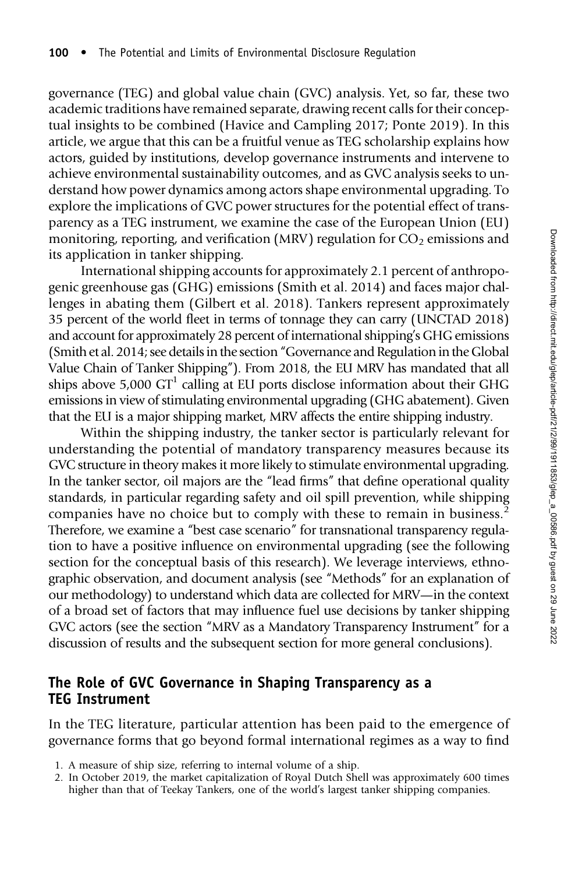governance (TEG) and global value chain (GVC) analysis. Yet, so far, these two academic traditions have remained separate, drawing recent calls for their conceptual insights to be combined (Havice and Campling 2017; Ponte 2019). In this article, we argue that this can be a fruitful venue as TEG scholarship explains how actors, guided by institutions, develop governance instruments and intervene to achieve environmental sustainability outcomes, and as GVC analysis seeks to understand how power dynamics among actors shape environmental upgrading. To explore the implications of GVC power structures for the potential effect of transparency as a TEG instrument, we examine the case of the European Union (EU) monitoring, reporting, and verification (MRV) regulation for  $CO<sub>2</sub>$  emissions and its application in tanker shipping.

International shipping accounts for approximately 2.1 percent of anthropogenic greenhouse gas (GHG) emissions (Smith et al. 2014) and faces major challenges in abating them (Gilbert et al. 2018). Tankers represent approximately 35 percent of the world fleet in terms of tonnage they can carry (UNCTAD 2018) and account for approximately 28 percent of international shipping's GHG emissions (Smith et al. 2014; see details in the section"Governance and Regulation in the Global Value Chain of Tanker Shipping"). From 2018, the EU MRV has mandated that all ships above  $5,000$   $GT<sup>1</sup>$  calling at EU ports disclose information about their GHG emissions in view of stimulating environmental upgrading (GHG abatement). Given that the EU is a major shipping market, MRV affects the entire shipping industry.

Within the shipping industry, the tanker sector is particularly relevant for understanding the potential of mandatory transparency measures because its GVC structure in theory makes it more likely to stimulate environmental upgrading. In the tanker sector, oil majors are the "lead firms" that define operational quality standards, in particular regarding safety and oil spill prevention, while shipping companies have no choice but to comply with these to remain in business.<sup>2</sup> Therefore, we examine a "best case scenario" for transnational transparency regulation to have a positive influence on environmental upgrading (see the following section for the conceptual basis of this research). We leverage interviews, ethnographic observation, and document analysis (see "Methods" for an explanation of our methodology) to understand which data are collected for MRV—in the context of a broad set of factors that may influence fuel use decisions by tanker shipping GVC actors (see the section "MRV as a Mandatory Transparency Instrument" for a discussion of results and the subsequent section for more general conclusions).

## The Role of GVC Governance in Shaping Transparency as a TEG Instrument

In the TEG literature, particular attention has been paid to the emergence of governance forms that go beyond formal international regimes as a way to find

- 1. A measure of ship size, referring to internal volume of a ship.
- 2. In October 2019, the market capitalization of Royal Dutch Shell was approximately 600 times higher than that of Teekay Tankers, one of the world's largest tanker shipping companies.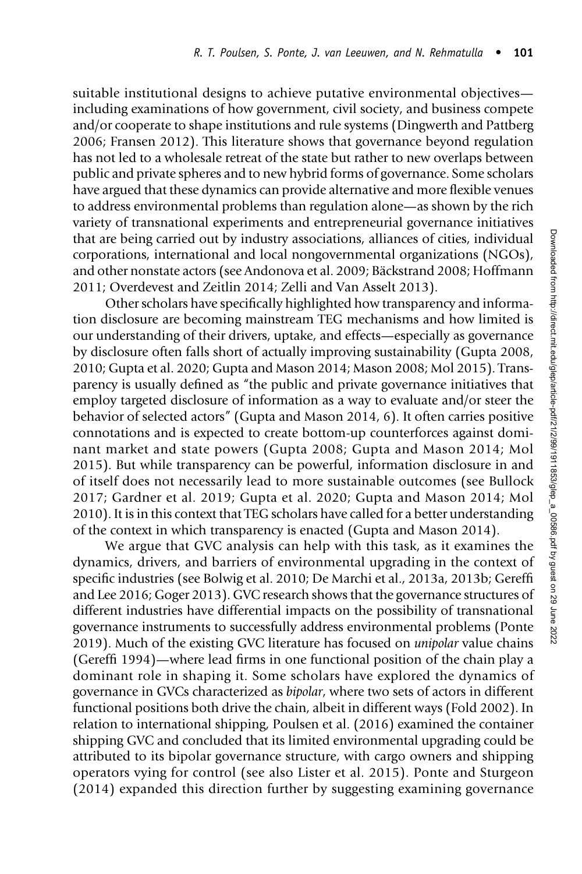suitable institutional designs to achieve putative environmental objectives including examinations of how government, civil society, and business compete and/or cooperate to shape institutions and rule systems (Dingwerth and Pattberg 2006; Fransen 2012). This literature shows that governance beyond regulation has not led to a wholesale retreat of the state but rather to new overlaps between public and private spheres and to new hybrid forms of governance. Some scholars have argued that these dynamics can provide alternative and more flexible venues to address environmental problems than regulation alone—as shown by the rich variety of transnational experiments and entrepreneurial governance initiatives that are being carried out by industry associations, alliances of cities, individual corporations, international and local nongovernmental organizations (NGOs), and other nonstate actors (see Andonova et al. 2009; Bäckstrand 2008; Hoffmann 2011; Overdevest and Zeitlin 2014; Zelli and Van Asselt 2013).

Other scholars have specifically highlighted how transparency and information disclosure are becoming mainstream TEG mechanisms and how limited is our understanding of their drivers, uptake, and effects—especially as governance by disclosure often falls short of actually improving sustainability (Gupta 2008, 2010; Gupta et al. 2020; Gupta and Mason 2014; Mason 2008; Mol 2015). Transparency is usually defined as "the public and private governance initiatives that employ targeted disclosure of information as a way to evaluate and/or steer the behavior of selected actors" (Gupta and Mason 2014, 6). It often carries positive connotations and is expected to create bottom-up counterforces against dominant market and state powers (Gupta 2008; Gupta and Mason 2014; Mol 2015). But while transparency can be powerful, information disclosure in and of itself does not necessarily lead to more sustainable outcomes (see Bullock 2017; Gardner et al. 2019; Gupta et al. 2020; Gupta and Mason 2014; Mol 2010). It is in this context that TEG scholars have called for a better understanding of the context in which transparency is enacted (Gupta and Mason 2014).

We argue that GVC analysis can help with this task, as it examines the dynamics, drivers, and barriers of environmental upgrading in the context of specific industries (see Bolwig et al. 2010; De Marchi et al., 2013a, 2013b; Gereffi and Lee 2016; Goger 2013). GVC research shows that the governance structures of different industries have differential impacts on the possibility of transnational governance instruments to successfully address environmental problems (Ponte 2019). Much of the existing GVC literature has focused on unipolar value chains (Gereffi 1994)—where lead firms in one functional position of the chain play a dominant role in shaping it. Some scholars have explored the dynamics of governance in GVCs characterized as bipolar, where two sets of actors in different functional positions both drive the chain, albeit in different ways (Fold 2002). In relation to international shipping, Poulsen et al. (2016) examined the container shipping GVC and concluded that its limited environmental upgrading could be attributed to its bipolar governance structure, with cargo owners and shipping operators vying for control (see also Lister et al. 2015). Ponte and Sturgeon (2014) expanded this direction further by suggesting examining governance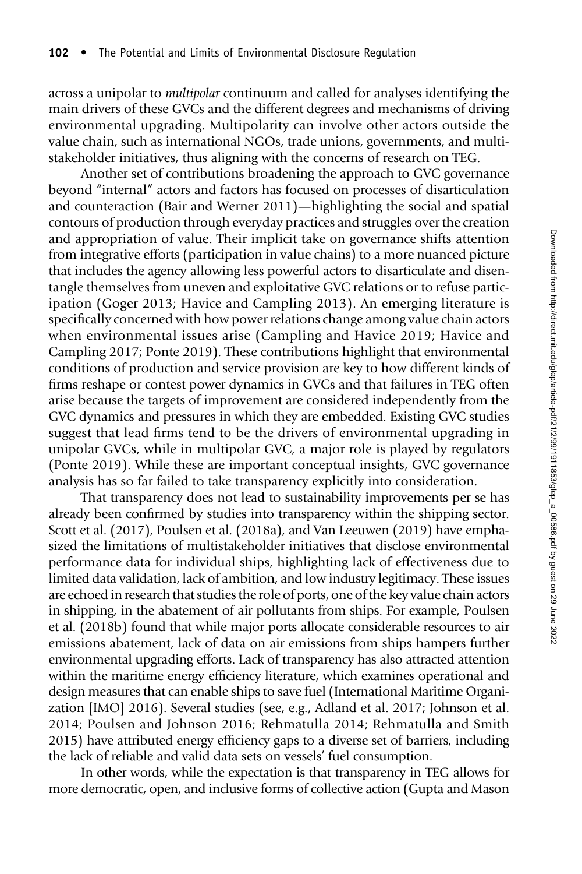across a unipolar to multipolar continuum and called for analyses identifying the main drivers of these GVCs and the different degrees and mechanisms of driving environmental upgrading. Multipolarity can involve other actors outside the value chain, such as international NGOs, trade unions, governments, and multistakeholder initiatives, thus aligning with the concerns of research on TEG.

Another set of contributions broadening the approach to GVC governance beyond "internal" actors and factors has focused on processes of disarticulation and counteraction (Bair and Werner 2011)—highlighting the social and spatial contours of production through everyday practices and struggles over the creation and appropriation of value. Their implicit take on governance shifts attention from integrative efforts (participation in value chains) to a more nuanced picture that includes the agency allowing less powerful actors to disarticulate and disentangle themselves from uneven and exploitative GVC relations or to refuse participation (Goger 2013; Havice and Campling 2013). An emerging literature is specifically concerned with how power relations change among value chain actors when environmental issues arise (Campling and Havice 2019; Havice and Campling 2017; Ponte 2019). These contributions highlight that environmental conditions of production and service provision are key to how different kinds of firms reshape or contest power dynamics in GVCs and that failures in TEG often arise because the targets of improvement are considered independently from the GVC dynamics and pressures in which they are embedded. Existing GVC studies suggest that lead firms tend to be the drivers of environmental upgrading in unipolar GVCs, while in multipolar GVC, a major role is played by regulators (Ponte 2019). While these are important conceptual insights, GVC governance analysis has so far failed to take transparency explicitly into consideration.

That transparency does not lead to sustainability improvements per se has already been confirmed by studies into transparency within the shipping sector. Scott et al. (2017), Poulsen et al. (2018a), and Van Leeuwen (2019) have emphasized the limitations of multistakeholder initiatives that disclose environmental performance data for individual ships, highlighting lack of effectiveness due to limited data validation, lack of ambition, and low industry legitimacy. These issues are echoed in research that studies the role of ports, one of the key value chain actors in shipping, in the abatement of air pollutants from ships. For example, Poulsen et al. (2018b) found that while major ports allocate considerable resources to air emissions abatement, lack of data on air emissions from ships hampers further environmental upgrading efforts. Lack of transparency has also attracted attention within the maritime energy efficiency literature, which examines operational and design measures that can enable ships to save fuel (International Maritime Organization [IMO] 2016). Several studies (see, e.g., Adland et al. 2017; Johnson et al. 2014; Poulsen and Johnson 2016; Rehmatulla 2014; Rehmatulla and Smith 2015) have attributed energy efficiency gaps to a diverse set of barriers, including the lack of reliable and valid data sets on vessels' fuel consumption.

In other words, while the expectation is that transparency in TEG allows for more democratic, open, and inclusive forms of collective action (Gupta and Mason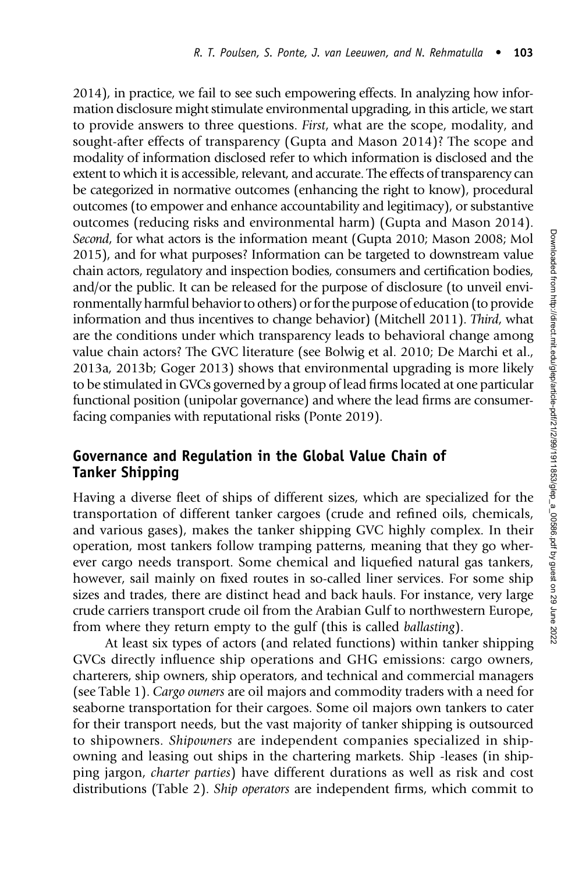2014), in practice, we fail to see such empowering effects. In analyzing how information disclosure might stimulate environmental upgrading, in this article, we start to provide answers to three questions. First, what are the scope, modality, and sought-after effects of transparency (Gupta and Mason 2014)? The scope and modality of information disclosed refer to which information is disclosed and the extent to which it is accessible, relevant, and accurate. The effects of transparency can be categorized in normative outcomes (enhancing the right to know), procedural outcomes (to empower and enhance accountability and legitimacy), or substantive outcomes (reducing risks and environmental harm) (Gupta and Mason 2014). Second, for what actors is the information meant (Gupta 2010; Mason 2008; Mol 2015), and for what purposes? Information can be targeted to downstream value chain actors, regulatory and inspection bodies, consumers and certification bodies, and/or the public. It can be released for the purpose of disclosure (to unveil environmentally harmful behavior to others) or for the purpose of education (to provide information and thus incentives to change behavior) (Mitchell 2011). Third, what are the conditions under which transparency leads to behavioral change among value chain actors? The GVC literature (see Bolwig et al. 2010; De Marchi et al., 2013a, 2013b; Goger 2013) shows that environmental upgrading is more likely to be stimulated in GVCs governed by a group of lead firms located at one particular functional position (unipolar governance) and where the lead firms are consumerfacing companies with reputational risks (Ponte 2019).

## Governance and Regulation in the Global Value Chain of Tanker Shipping

Having a diverse fleet of ships of different sizes, which are specialized for the transportation of different tanker cargoes (crude and refined oils, chemicals, and various gases), makes the tanker shipping GVC highly complex. In their operation, most tankers follow tramping patterns, meaning that they go wherever cargo needs transport. Some chemical and liquefied natural gas tankers, however, sail mainly on fixed routes in so-called liner services. For some ship sizes and trades, there are distinct head and back hauls. For instance, very large crude carriers transport crude oil from the Arabian Gulf to northwestern Europe, from where they return empty to the gulf (this is called ballasting).

At least six types of actors (and related functions) within tanker shipping GVCs directly influence ship operations and GHG emissions: cargo owners, charterers, ship owners, ship operators, and technical and commercial managers (see Table 1). Cargo owners are oil majors and commodity traders with a need for seaborne transportation for their cargoes. Some oil majors own tankers to cater for their transport needs, but the vast majority of tanker shipping is outsourced to shipowners. Shipowners are independent companies specialized in shipowning and leasing out ships in the chartering markets. Ship -leases (in shipping jargon, charter parties) have different durations as well as risk and cost distributions (Table 2). Ship operators are independent firms, which commit to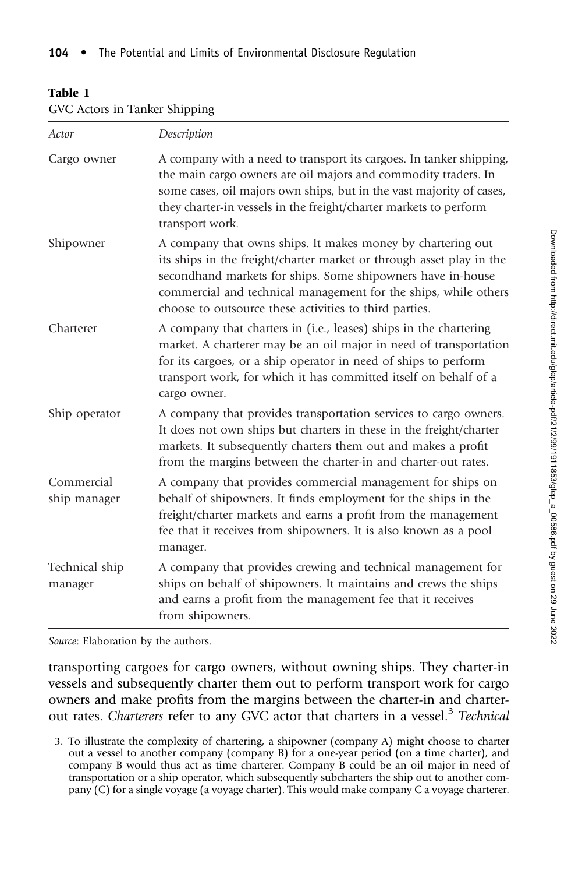#### Table 1

| Actor                      | Description<br>A company with a need to transport its cargoes. In tanker shipping,<br>the main cargo owners are oil majors and commodity traders. In<br>some cases, oil majors own ships, but in the vast majority of cases,<br>they charter-in vessels in the freight/charter markets to perform<br>transport work.            |  |  |  |  |
|----------------------------|---------------------------------------------------------------------------------------------------------------------------------------------------------------------------------------------------------------------------------------------------------------------------------------------------------------------------------|--|--|--|--|
| Cargo owner                |                                                                                                                                                                                                                                                                                                                                 |  |  |  |  |
| Shipowner                  | A company that owns ships. It makes money by chartering out<br>its ships in the freight/charter market or through asset play in the<br>secondhand markets for ships. Some shipowners have in-house<br>commercial and technical management for the ships, while others<br>choose to outsource these activities to third parties. |  |  |  |  |
| Charterer                  | A company that charters in (i.e., leases) ships in the chartering<br>market. A charterer may be an oil major in need of transportation<br>for its cargoes, or a ship operator in need of ships to perform<br>transport work, for which it has committed itself on behalf of a<br>cargo owner.                                   |  |  |  |  |
| Ship operator              | A company that provides transportation services to cargo owners.<br>It does not own ships but charters in these in the freight/charter<br>markets. It subsequently charters them out and makes a profit<br>from the margins between the charter-in and charter-out rates.                                                       |  |  |  |  |
| Commercial<br>ship manager | A company that provides commercial management for ships on<br>behalf of shipowners. It finds employment for the ships in the<br>freight/charter markets and earns a profit from the management<br>fee that it receives from shipowners. It is also known as a pool<br>manager.                                                  |  |  |  |  |
| Technical ship<br>manager  | A company that provides crewing and technical management for<br>ships on behalf of shipowners. It maintains and crews the ships<br>and earns a profit from the management fee that it receives<br>from shipowners.                                                                                                              |  |  |  |  |

GVC Actors in Tanker Shipping

Source: Elaboration by the authors.

transporting cargoes for cargo owners, without owning ships. They charter-in vessels and subsequently charter them out to perform transport work for cargo owners and make profits from the margins between the charter-in and charterout rates. Charterers refer to any GVC actor that charters in a vessel.<sup>3</sup> Technical

<sup>3.</sup> To illustrate the complexity of chartering, a shipowner (company A) might choose to charter out a vessel to another company (company B) for a one-year period (on a time charter), and company B would thus act as time charterer. Company B could be an oil major in need of transportation or a ship operator, which subsequently subcharters the ship out to another company (C) for a single voyage (a voyage charter). This would make company C a voyage charterer.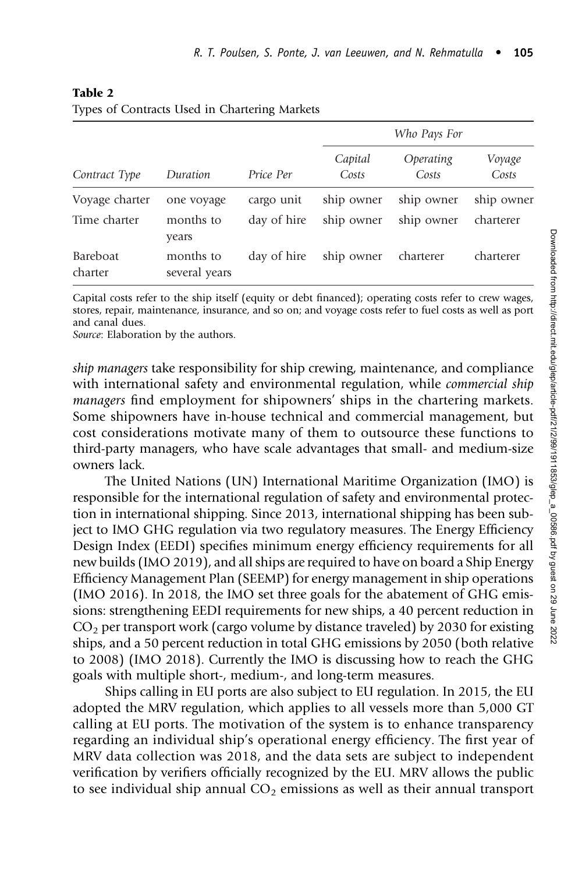| Contract Type              | Duration                   | Price Per   | Who Pays For     |                    |                 |  |
|----------------------------|----------------------------|-------------|------------------|--------------------|-----------------|--|
|                            |                            |             | Capital<br>Costs | Operating<br>Costs | Voyage<br>Costs |  |
| Voyage charter             | one voyage                 | cargo unit  | ship owner       | ship owner         | ship owner      |  |
| Time charter               | months to<br>years         | day of hire | ship owner       | ship owner         | charterer       |  |
| <b>Bareboat</b><br>charter | months to<br>several years | day of hire | ship owner       | charterer          | charterer       |  |

#### Table 2

Types of Contracts Used in Chartering Markets

Capital costs refer to the ship itself (equity or debt financed); operating costs refer to crew wages, stores, repair, maintenance, insurance, and so on; and voyage costs refer to fuel costs as well as port and canal dues.

Source: Elaboration by the authors.

ship managers take responsibility for ship crewing, maintenance, and compliance with international safety and environmental regulation, while *commercial ship* managers find employment for shipowners' ships in the chartering markets. Some shipowners have in-house technical and commercial management, but cost considerations motivate many of them to outsource these functions to third-party managers, who have scale advantages that small- and medium-size owners lack.

The United Nations (UN) International Maritime Organization (IMO) is responsible for the international regulation of safety and environmental protection in international shipping. Since 2013, international shipping has been subject to IMO GHG regulation via two regulatory measures. The Energy Efficiency Design Index (EEDI) specifies minimum energy efficiency requirements for all new builds (IMO 2019), and all ships are required to have on board a Ship Energy Efficiency Management Plan (SEEMP) for energy management in ship operations (IMO 2016). In 2018, the IMO set three goals for the abatement of GHG emissions: strengthening EEDI requirements for new ships, a 40 percent reduction in  $CO<sub>2</sub>$  per transport work (cargo volume by distance traveled) by 2030 for existing ships, and a 50 percent reduction in total GHG emissions by 2050 (both relative to 2008) (IMO 2018). Currently the IMO is discussing how to reach the GHG goals with multiple short-, medium-, and long-term measures.

Ships calling in EU ports are also subject to EU regulation. In 2015, the EU adopted the MRV regulation, which applies to all vessels more than 5,000 GT calling at EU ports. The motivation of the system is to enhance transparency regarding an individual ship's operational energy efficiency. The first year of MRV data collection was 2018, and the data sets are subject to independent verification by verifiers officially recognized by the EU. MRV allows the public to see individual ship annual  $CO<sub>2</sub>$  emissions as well as their annual transport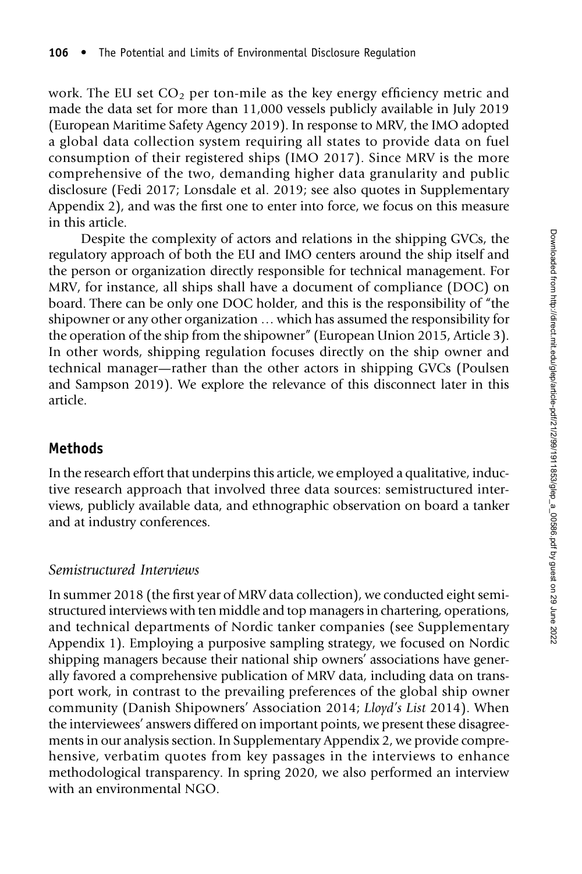work. The EU set  $CO<sub>2</sub>$  per ton-mile as the key energy efficiency metric and made the data set for more than 11,000 vessels publicly available in July 2019 (European Maritime Safety Agency 2019). In response to MRV, the IMO adopted a global data collection system requiring all states to provide data on fuel consumption of their registered ships (IMO 2017). Since MRV is the more comprehensive of the two, demanding higher data granularity and public disclosure (Fedi 2017; Lonsdale et al. 2019; see also quotes in Supplementary Appendix 2), and was the first one to enter into force, we focus on this measure in this article.

Despite the complexity of actors and relations in the shipping GVCs, the regulatory approach of both the EU and IMO centers around the ship itself and the person or organization directly responsible for technical management. For MRV, for instance, all ships shall have a document of compliance (DOC) on board. There can be only one DOC holder, and this is the responsibility of "the shipowner or any other organization … which has assumed the responsibility for the operation of the ship from the shipowner" (European Union 2015, Article 3). In other words, shipping regulation focuses directly on the ship owner and technical manager—rather than the other actors in shipping GVCs (Poulsen and Sampson 2019). We explore the relevance of this disconnect later in this article.

## Methods

In the research effort that underpins this article, we employed a qualitative, inductive research approach that involved three data sources: semistructured interviews, publicly available data, and ethnographic observation on board a tanker and at industry conferences.

#### Semistructured Interviews

In summer 2018 (the first year of MRV data collection), we conducted eight semistructured interviews with ten middle and top managers in chartering, operations, and technical departments of Nordic tanker companies (see Supplementary Appendix 1). Employing a purposive sampling strategy, we focused on Nordic shipping managers because their national ship owners' associations have generally favored a comprehensive publication of MRV data, including data on transport work, in contrast to the prevailing preferences of the global ship owner community (Danish Shipowners' Association 2014; Lloyd's List 2014). When the interviewees' answers differed on important points, we present these disagreements in our analysis section. In Supplementary Appendix 2, we provide comprehensive, verbatim quotes from key passages in the interviews to enhance methodological transparency. In spring 2020, we also performed an interview with an environmental NGO.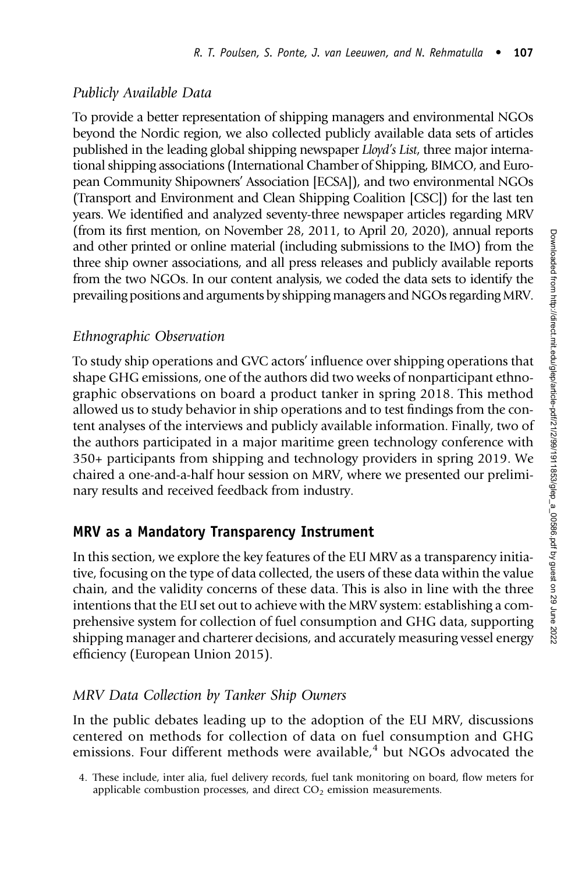## Publicly Available Data

To provide a better representation of shipping managers and environmental NGOs beyond the Nordic region, we also collected publicly available data sets of articles published in the leading global shipping newspaper Lloyd's List, three major international shipping associations (International Chamber of Shipping, BIMCO, and European Community Shipowners' Association [ECSA]), and two environmental NGOs (Transport and Environment and Clean Shipping Coalition [CSC]) for the last ten years. We identified and analyzed seventy-three newspaper articles regarding MRV (from its first mention, on November 28, 2011, to April 20, 2020), annual reports and other printed or online material (including submissions to the IMO) from the three ship owner associations, and all press releases and publicly available reports from the two NGOs. In our content analysis, we coded the data sets to identify the prevailing positions and arguments by shipping managers and NGOs regarding MRV.

## Ethnographic Observation

To study ship operations and GVC actors' influence over shipping operations that shape GHG emissions, one of the authors did two weeks of nonparticipant ethnographic observations on board a product tanker in spring 2018. This method allowed us to study behavior in ship operations and to test findings from the content analyses of the interviews and publicly available information. Finally, two of the authors participated in a major maritime green technology conference with 350+ participants from shipping and technology providers in spring 2019. We chaired a one-and-a-half hour session on MRV, where we presented our preliminary results and received feedback from industry.

# MRV as a Mandatory Transparency Instrument

In this section, we explore the key features of the EU MRV as a transparency initiative, focusing on the type of data collected, the users of these data within the value chain, and the validity concerns of these data. This is also in line with the three intentions that the EU set out to achieve with the MRV system: establishing a comprehensive system for collection of fuel consumption and GHG data, supporting shipping manager and charterer decisions, and accurately measuring vessel energy efficiency (European Union 2015).

## MRV Data Collection by Tanker Ship Owners

In the public debates leading up to the adoption of the EU MRV, discussions centered on methods for collection of data on fuel consumption and GHG emissions. Four different methods were available, $4$  but NGOs advocated the

<sup>4.</sup> These include, inter alia, fuel delivery records, fuel tank monitoring on board, flow meters for applicable combustion processes, and direct  $CO<sub>2</sub>$  emission measurements.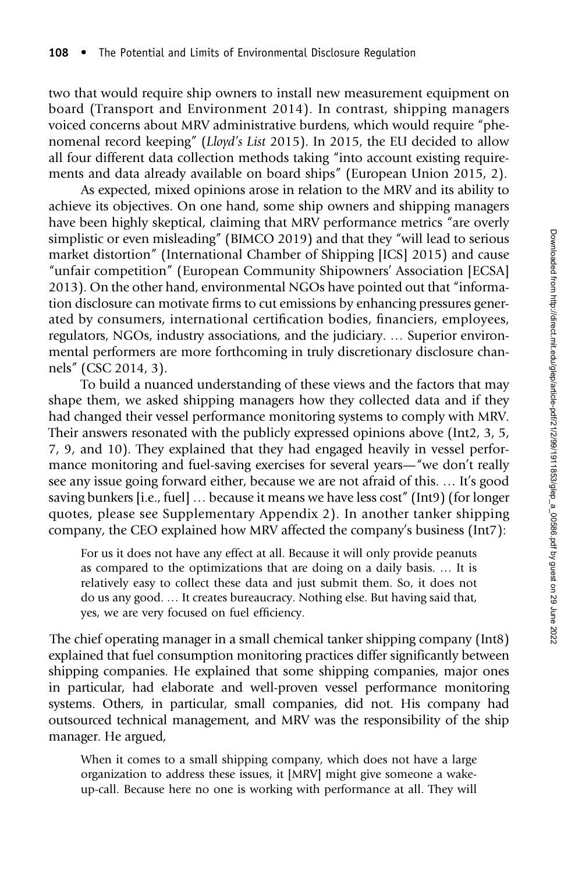two that would require ship owners to install new measurement equipment on board (Transport and Environment 2014). In contrast, shipping managers voiced concerns about MRV administrative burdens, which would require "phenomenal record keeping" (Lloyd's List 2015). In 2015, the EU decided to allow all four different data collection methods taking "into account existing requirements and data already available on board ships" (European Union 2015, 2).

As expected, mixed opinions arose in relation to the MRV and its ability to achieve its objectives. On one hand, some ship owners and shipping managers have been highly skeptical, claiming that MRV performance metrics "are overly simplistic or even misleading" (BIMCO 2019) and that they "will lead to serious market distortion" (International Chamber of Shipping [ICS] 2015) and cause "unfair competition" (European Community Shipowners' Association [ECSA] 2013). On the other hand, environmental NGOs have pointed out that "information disclosure can motivate firms to cut emissions by enhancing pressures generated by consumers, international certification bodies, financiers, employees, regulators, NGOs, industry associations, and the judiciary. … Superior environmental performers are more forthcoming in truly discretionary disclosure channels" (CSC 2014, 3).

To build a nuanced understanding of these views and the factors that may shape them, we asked shipping managers how they collected data and if they had changed their vessel performance monitoring systems to comply with MRV. Their answers resonated with the publicly expressed opinions above (Int2, 3, 5, 7, 9, and 10). They explained that they had engaged heavily in vessel performance monitoring and fuel-saving exercises for several years—"we don't really see any issue going forward either, because we are not afraid of this. … It's good saving bunkers [i.e., fuel] … because it means we have less cost" (Int9) (for longer quotes, please see Supplementary Appendix 2). In another tanker shipping company, the CEO explained how MRV affected the company's business (Int7):

For us it does not have any effect at all. Because it will only provide peanuts as compared to the optimizations that are doing on a daily basis. … It is relatively easy to collect these data and just submit them. So, it does not do us any good. … It creates bureaucracy. Nothing else. But having said that, yes, we are very focused on fuel efficiency.

The chief operating manager in a small chemical tanker shipping company (Int8) explained that fuel consumption monitoring practices differ significantly between shipping companies. He explained that some shipping companies, major ones in particular, had elaborate and well-proven vessel performance monitoring systems. Others, in particular, small companies, did not. His company had outsourced technical management, and MRV was the responsibility of the ship manager. He argued,

When it comes to a small shipping company, which does not have a large organization to address these issues, it [MRV] might give someone a wakeup-call. Because here no one is working with performance at all. They will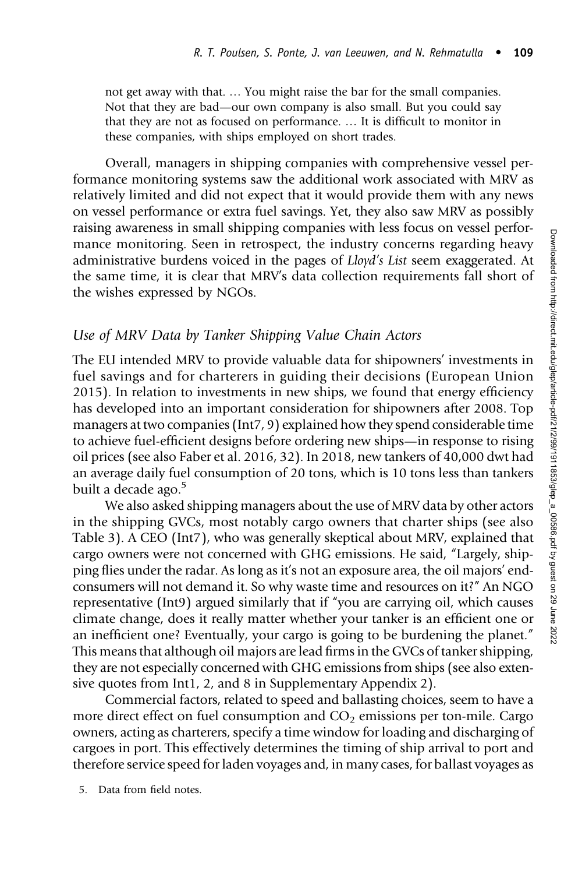not get away with that. … You might raise the bar for the small companies. Not that they are bad—our own company is also small. But you could say that they are not as focused on performance. … It is difficult to monitor in these companies, with ships employed on short trades.

Overall, managers in shipping companies with comprehensive vessel performance monitoring systems saw the additional work associated with MRV as relatively limited and did not expect that it would provide them with any news on vessel performance or extra fuel savings. Yet, they also saw MRV as possibly raising awareness in small shipping companies with less focus on vessel performance monitoring. Seen in retrospect, the industry concerns regarding heavy administrative burdens voiced in the pages of Lloyd's List seem exaggerated. At the same time, it is clear that MRV's data collection requirements fall short of the wishes expressed by NGOs.

#### Use of MRV Data by Tanker Shipping Value Chain Actors

The EU intended MRV to provide valuable data for shipowners' investments in fuel savings and for charterers in guiding their decisions (European Union 2015). In relation to investments in new ships, we found that energy efficiency has developed into an important consideration for shipowners after 2008. Top managers at two companies (Int7, 9) explained how they spend considerable time to achieve fuel-efficient designs before ordering new ships—in response to rising oil prices (see also Faber et al. 2016, 32). In 2018, new tankers of 40,000 dwt had an average daily fuel consumption of 20 tons, which is 10 tons less than tankers built a decade ago.<sup>5</sup>

We also asked shipping managers about the use of MRV data by other actors in the shipping GVCs, most notably cargo owners that charter ships (see also Table 3). A CEO (Int7), who was generally skeptical about MRV, explained that cargo owners were not concerned with GHG emissions. He said, "Largely, shipping flies under the radar. As long as it's not an exposure area, the oil majors' endconsumers will not demand it. So why waste time and resources on it?" An NGO representative (Int9) argued similarly that if "you are carrying oil, which causes climate change, does it really matter whether your tanker is an efficient one or an inefficient one? Eventually, your cargo is going to be burdening the planet." This means that although oil majors are lead firms in the GVCs of tanker shipping, they are not especially concerned with GHG emissions from ships (see also extensive quotes from Int1, 2, and 8 in Supplementary Appendix 2).

Commercial factors, related to speed and ballasting choices, seem to have a more direct effect on fuel consumption and  $CO<sub>2</sub>$  emissions per ton-mile. Cargo owners, acting as charterers, specify a time window for loading and discharging of cargoes in port. This effectively determines the timing of ship arrival to port and therefore service speed for laden voyages and, in many cases, for ballast voyages as

5. Data from field notes.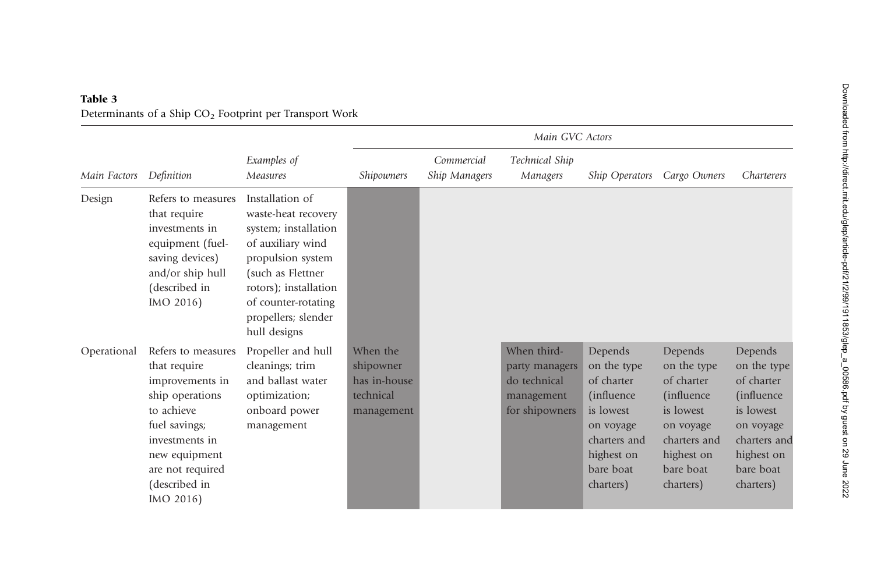| Main Factors |                                                                                                                                                                                              |                                                                                                                                                                                                                      | Main GVC Actors                                                  |                             |                                                                               |                                                                                                                                              |                                                                                                                                       |                                                                                                                                       |
|--------------|----------------------------------------------------------------------------------------------------------------------------------------------------------------------------------------------|----------------------------------------------------------------------------------------------------------------------------------------------------------------------------------------------------------------------|------------------------------------------------------------------|-----------------------------|-------------------------------------------------------------------------------|----------------------------------------------------------------------------------------------------------------------------------------------|---------------------------------------------------------------------------------------------------------------------------------------|---------------------------------------------------------------------------------------------------------------------------------------|
|              | Definition                                                                                                                                                                                   | Examples of<br>Measures                                                                                                                                                                                              | <i>Shipowners</i>                                                | Commercial<br>Ship Managers | Technical Ship<br>Managers                                                    | Ship Operators                                                                                                                               | Cargo Owners                                                                                                                          | Charterers                                                                                                                            |
| Design       | Refers to measures<br>that require<br>investments in<br>equipment (fuel-<br>saving devices)<br>and/or ship hull<br>(described in<br>IMO 2016)                                                | Installation of<br>waste-heat recovery<br>system; installation<br>of auxiliary wind<br>propulsion system<br>(such as Flettner<br>rotors); installation<br>of counter-rotating<br>propellers; slender<br>hull designs |                                                                  |                             |                                                                               |                                                                                                                                              |                                                                                                                                       |                                                                                                                                       |
| Operational  | Refers to measures<br>that require<br>improvements in<br>ship operations<br>to achieve<br>fuel savings;<br>investments in<br>new equipment<br>are not required<br>(described in<br>IMO 2016) | Propeller and hull<br>cleanings; trim<br>and ballast water<br>optimization;<br>onboard power<br>management                                                                                                           | When the<br>shipowner<br>has in-house<br>technical<br>management |                             | When third-<br>party managers<br>do technical<br>management<br>for shipowners | Depends<br>on the type<br>of charter<br><i>(influence)</i><br>is lowest<br>on voyage<br>charters and<br>highest on<br>bare boat<br>charters) | Depends<br>on the type<br>of charter<br>(influence)<br>is lowest<br>on voyage<br>charters and<br>highest on<br>bare boat<br>charters) | Depends<br>on the type<br>of charter<br>(influence)<br>is lowest<br>on voyage<br>charters and<br>highest on<br>bare boat<br>charters) |

### Table 3 Determinants of a Ship  $CO<sub>2</sub>$  Footprint per Transport Work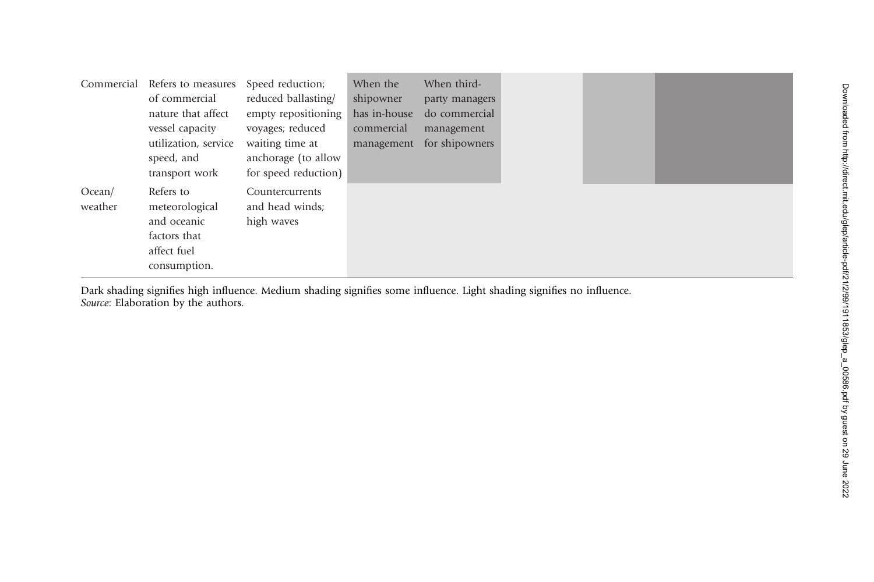| Commercial        | Refers to measures<br>of commercial<br>nature that affect                                 | Speed reduction;<br>reduced ballasting/<br>empty repositioning | When the<br>shipowner<br>has in-house | When third-<br>party managers<br>do commercial |  |  |
|-------------------|-------------------------------------------------------------------------------------------|----------------------------------------------------------------|---------------------------------------|------------------------------------------------|--|--|
|                   | vessel capacity                                                                           | voyages; reduced                                               | commercial                            | management                                     |  |  |
|                   | utilization, service<br>speed, and<br>transport work                                      | waiting time at<br>anchorage (to allow<br>for speed reduction) | management                            | for shipowners                                 |  |  |
| Ocean/<br>weather | Refers to<br>meteorological<br>and oceanic<br>factors that<br>affect fuel<br>consumption. | Countercurrents<br>and head winds;<br>high waves               |                                       |                                                |  |  |

Dark shading signifies high influence. Medium shading signifies some influence. Light shading signifies no influence. Source: Elaboration by the authors.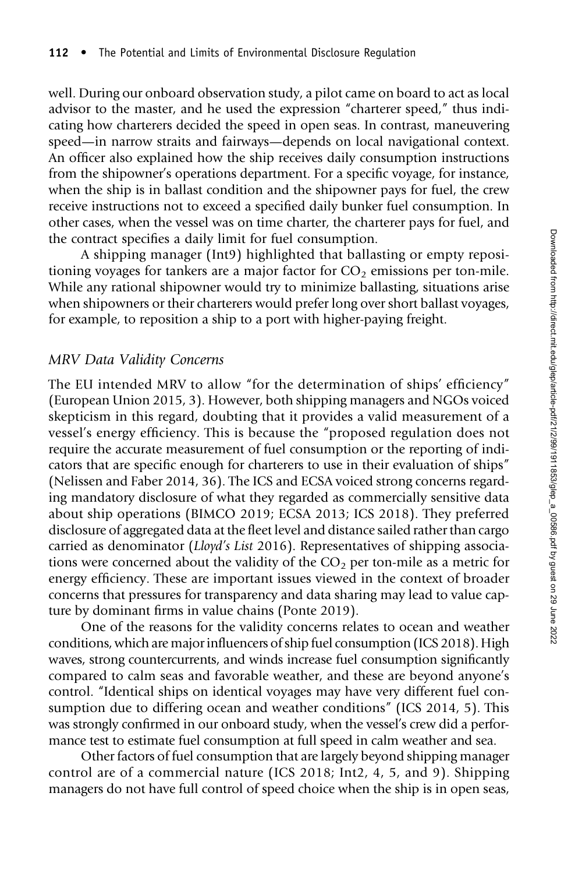well. During our onboard observation study, a pilot came on board to act as local advisor to the master, and he used the expression "charterer speed," thus indicating how charterers decided the speed in open seas. In contrast, maneuvering speed—in narrow straits and fairways—depends on local navigational context. An officer also explained how the ship receives daily consumption instructions from the shipowner's operations department. For a specific voyage, for instance, when the ship is in ballast condition and the shipowner pays for fuel, the crew receive instructions not to exceed a specified daily bunker fuel consumption. In other cases, when the vessel was on time charter, the charterer pays for fuel, and the contract specifies a daily limit for fuel consumption.

A shipping manager (Int9) highlighted that ballasting or empty repositioning voyages for tankers are a major factor for  $CO<sub>2</sub>$  emissions per ton-mile. While any rational shipowner would try to minimize ballasting, situations arise when shipowners or their charterers would prefer long over short ballast voyages, for example, to reposition a ship to a port with higher-paying freight.

#### MRV Data Validity Concerns

The EU intended MRV to allow "for the determination of ships' efficiency" (European Union 2015, 3). However, both shipping managers and NGOs voiced skepticism in this regard, doubting that it provides a valid measurement of a vessel's energy efficiency. This is because the "proposed regulation does not require the accurate measurement of fuel consumption or the reporting of indicators that are specific enough for charterers to use in their evaluation of ships" (Nelissen and Faber 2014, 36). The ICS and ECSA voiced strong concerns regarding mandatory disclosure of what they regarded as commercially sensitive data about ship operations (BIMCO 2019; ECSA 2013; ICS 2018). They preferred disclosure of aggregated data at the fleet level and distance sailed rather than cargo carried as denominator (Lloyd's List 2016). Representatives of shipping associations were concerned about the validity of the  $CO<sub>2</sub>$  per ton-mile as a metric for energy efficiency. These are important issues viewed in the context of broader concerns that pressures for transparency and data sharing may lead to value capture by dominant firms in value chains (Ponte 2019).

One of the reasons for the validity concerns relates to ocean and weather conditions, which are major influencers of ship fuel consumption (ICS 2018). High waves, strong countercurrents, and winds increase fuel consumption significantly compared to calm seas and favorable weather, and these are beyond anyone's control. "Identical ships on identical voyages may have very different fuel consumption due to differing ocean and weather conditions" (ICS 2014, 5). This was strongly confirmed in our onboard study, when the vessel's crew did a performance test to estimate fuel consumption at full speed in calm weather and sea.

Other factors of fuel consumption that are largely beyond shipping manager control are of a commercial nature (ICS 2018; Int2, 4, 5, and 9). Shipping managers do not have full control of speed choice when the ship is in open seas,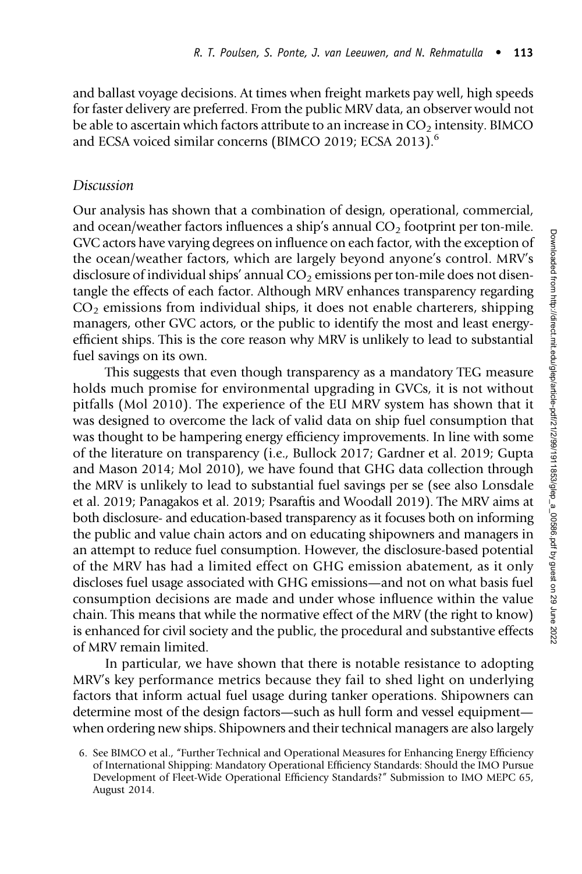and ballast voyage decisions. At times when freight markets pay well, high speeds for faster delivery are preferred. From the public MRV data, an observer would not be able to ascertain which factors attribute to an increase in  $CO<sub>2</sub>$  intensity. BIMCO and ECSA voiced similar concerns (BIMCO 2019; ECSA 2013).<sup>6</sup>

#### Discussion

Our analysis has shown that a combination of design, operational, commercial, and ocean/weather factors influences a ship's annual  $CO<sub>2</sub>$  footprint per ton-mile. GVC actors have varying degrees on influence on each factor, with the exception of the ocean/weather factors, which are largely beyond anyone's control. MRV's disclosure of individual ships' annual  $CO<sub>2</sub>$  emissions per ton-mile does not disentangle the effects of each factor. Although MRV enhances transparency regarding  $CO<sub>2</sub>$  emissions from individual ships, it does not enable charterers, shipping managers, other GVC actors, or the public to identify the most and least energyefficient ships. This is the core reason why MRV is unlikely to lead to substantial fuel savings on its own.

This suggests that even though transparency as a mandatory TEG measure holds much promise for environmental upgrading in GVCs, it is not without pitfalls (Mol 2010). The experience of the EU MRV system has shown that it was designed to overcome the lack of valid data on ship fuel consumption that was thought to be hampering energy efficiency improvements. In line with some of the literature on transparency (i.e., Bullock 2017; Gardner et al. 2019; Gupta and Mason 2014; Mol 2010), we have found that GHG data collection through the MRV is unlikely to lead to substantial fuel savings per se (see also Lonsdale et al. 2019; Panagakos et al. 2019; Psaraftis and Woodall 2019). The MRV aims at both disclosure- and education-based transparency as it focuses both on informing the public and value chain actors and on educating shipowners and managers in an attempt to reduce fuel consumption. However, the disclosure-based potential of the MRV has had a limited effect on GHG emission abatement, as it only discloses fuel usage associated with GHG emissions—and not on what basis fuel consumption decisions are made and under whose influence within the value chain. This means that while the normative effect of the MRV (the right to know) is enhanced for civil society and the public, the procedural and substantive effects of MRV remain limited.

In particular, we have shown that there is notable resistance to adopting MRV's key performance metrics because they fail to shed light on underlying factors that inform actual fuel usage during tanker operations. Shipowners can determine most of the design factors—such as hull form and vessel equipment when ordering new ships. Shipowners and their technical managers are also largely

<sup>6.</sup> See BIMCO et al., "Further Technical and Operational Measures for Enhancing Energy Efficiency of International Shipping: Mandatory Operational Efficiency Standards: Should the IMO Pursue Development of Fleet-Wide Operational Efficiency Standards?" Submission to IMO MEPC 65, August 2014.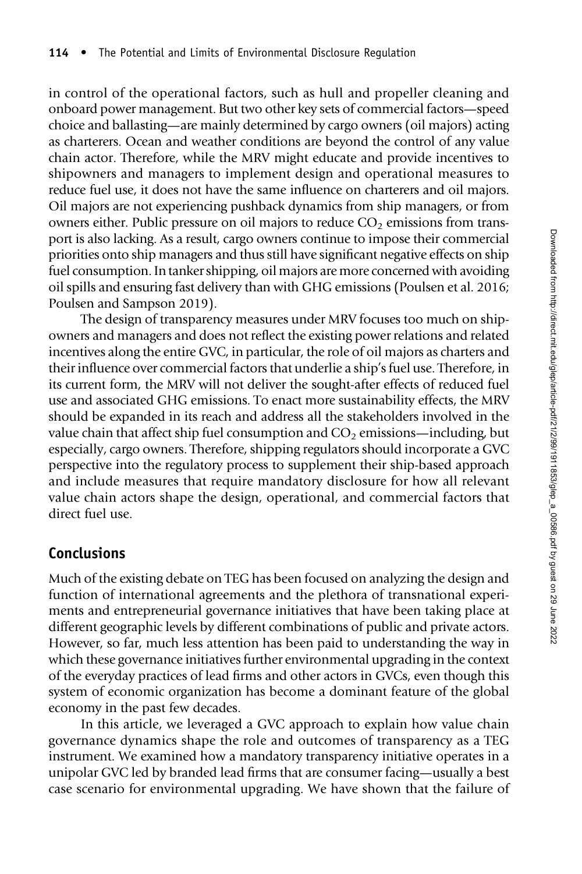in control of the operational factors, such as hull and propeller cleaning and onboard power management. But two other key sets of commercial factors—speed choice and ballasting—are mainly determined by cargo owners (oil majors) acting as charterers. Ocean and weather conditions are beyond the control of any value chain actor. Therefore, while the MRV might educate and provide incentives to shipowners and managers to implement design and operational measures to reduce fuel use, it does not have the same influence on charterers and oil majors. Oil majors are not experiencing pushback dynamics from ship managers, or from owners either. Public pressure on oil majors to reduce  $CO<sub>2</sub>$  emissions from transport is also lacking. As a result, cargo owners continue to impose their commercial priorities onto ship managers and thus still have significant negative effects on ship fuel consumption. In tanker shipping, oil majors are more concerned with avoiding oil spills and ensuring fast delivery than with GHG emissions (Poulsen et al. 2016; Poulsen and Sampson 2019).

The design of transparency measures under MRV focuses too much on shipowners and managers and does not reflect the existing power relations and related incentives along the entire GVC, in particular, the role of oil majors as charters and their influence over commercial factors that underlie a ship's fuel use. Therefore, in its current form, the MRV will not deliver the sought-after effects of reduced fuel use and associated GHG emissions. To enact more sustainability effects, the MRV should be expanded in its reach and address all the stakeholders involved in the value chain that affect ship fuel consumption and  $CO<sub>2</sub>$  emissions—including, but especially, cargo owners. Therefore, shipping regulators should incorporate a GVC perspective into the regulatory process to supplement their ship-based approach and include measures that require mandatory disclosure for how all relevant value chain actors shape the design, operational, and commercial factors that direct fuel use.

# Conclusions

Much of the existing debate on TEG has been focused on analyzing the design and function of international agreements and the plethora of transnational experiments and entrepreneurial governance initiatives that have been taking place at different geographic levels by different combinations of public and private actors. However, so far, much less attention has been paid to understanding the way in which these governance initiatives further environmental upgrading in the context of the everyday practices of lead firms and other actors in GVCs, even though this system of economic organization has become a dominant feature of the global economy in the past few decades.

In this article, we leveraged a GVC approach to explain how value chain governance dynamics shape the role and outcomes of transparency as a TEG instrument. We examined how a mandatory transparency initiative operates in a unipolar GVC led by branded lead firms that are consumer facing—usually a best case scenario for environmental upgrading. We have shown that the failure of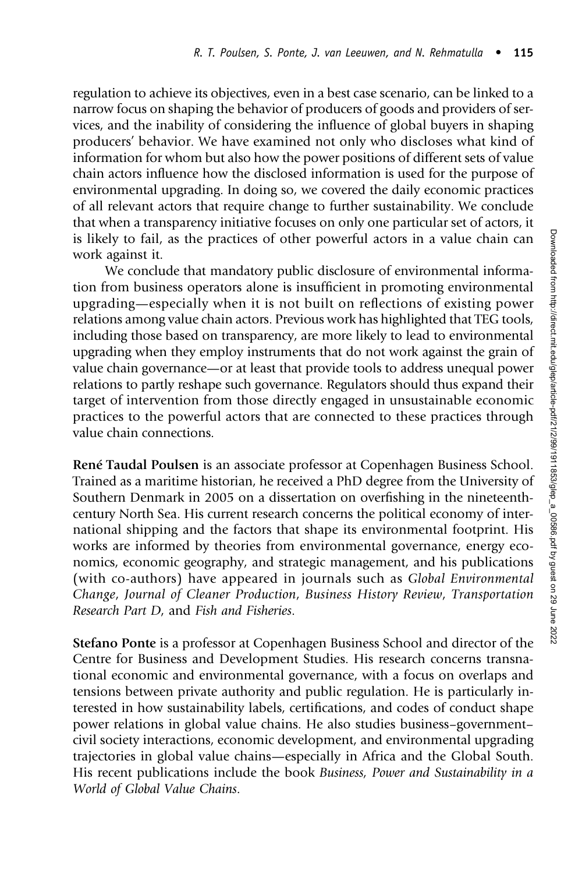regulation to achieve its objectives, even in a best case scenario, can be linked to a narrow focus on shaping the behavior of producers of goods and providers of services, and the inability of considering the influence of global buyers in shaping producers' behavior. We have examined not only who discloses what kind of information for whom but also how the power positions of different sets of value chain actors influence how the disclosed information is used for the purpose of environmental upgrading. In doing so, we covered the daily economic practices of all relevant actors that require change to further sustainability. We conclude that when a transparency initiative focuses on only one particular set of actors, it is likely to fail, as the practices of other powerful actors in a value chain can work against it.

We conclude that mandatory public disclosure of environmental information from business operators alone is insufficient in promoting environmental upgrading—especially when it is not built on reflections of existing power relations among value chain actors. Previous work has highlighted that TEG tools, including those based on transparency, are more likely to lead to environmental upgrading when they employ instruments that do not work against the grain of value chain governance—or at least that provide tools to address unequal power relations to partly reshape such governance. Regulators should thus expand their target of intervention from those directly engaged in unsustainable economic practices to the powerful actors that are connected to these practices through value chain connections.

René Taudal Poulsen is an associate professor at Copenhagen Business School. Trained as a maritime historian, he received a PhD degree from the University of Southern Denmark in 2005 on a dissertation on overfishing in the nineteenthcentury North Sea. His current research concerns the political economy of international shipping and the factors that shape its environmental footprint. His works are informed by theories from environmental governance, energy economics, economic geography, and strategic management, and his publications (with co-authors) have appeared in journals such as Global Environmental Change, Journal of Cleaner Production, Business History Review, Transportation Research Part D, and Fish and Fisheries.

Stefano Ponte is a professor at Copenhagen Business School and director of the Centre for Business and Development Studies. His research concerns transnational economic and environmental governance, with a focus on overlaps and tensions between private authority and public regulation. He is particularly interested in how sustainability labels, certifications, and codes of conduct shape power relations in global value chains. He also studies business–government– civil society interactions, economic development, and environmental upgrading trajectories in global value chains—especially in Africa and the Global South. His recent publications include the book Business, Power and Sustainability in a World of Global Value Chains.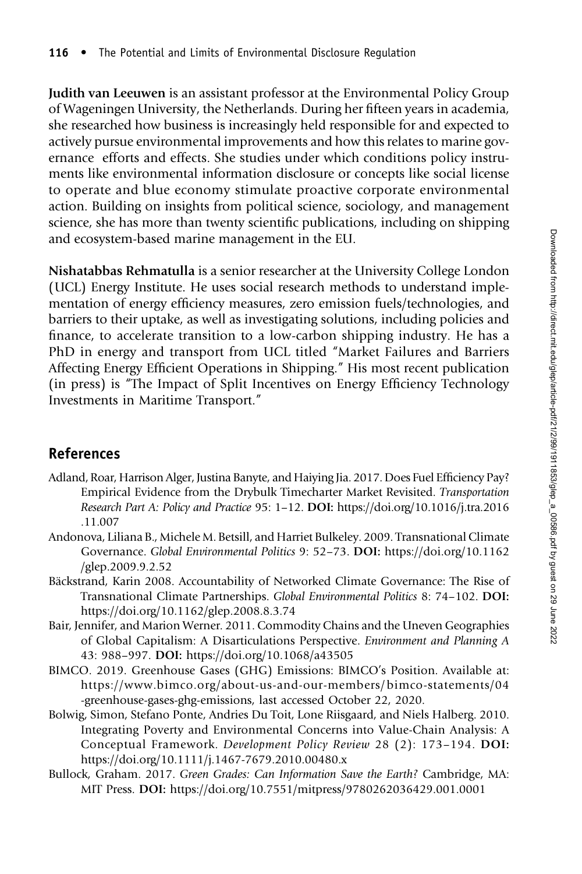Judith van Leeuwen is an assistant professor at the Environmental Policy Group of Wageningen University, the Netherlands. During her fifteen years in academia, she researched how business is increasingly held responsible for and expected to actively pursue environmental improvements and how this relates to marine governance efforts and effects. She studies under which conditions policy instruments like environmental information disclosure or concepts like social license to operate and blue economy stimulate proactive corporate environmental action. Building on insights from political science, sociology, and management science, she has more than twenty scientific publications, including on shipping and ecosystem-based marine management in the EU.

Nishatabbas Rehmatulla is a senior researcher at the University College London (UCL) Energy Institute. He uses social research methods to understand implementation of energy efficiency measures, zero emission fuels/technologies, and barriers to their uptake, as well as investigating solutions, including policies and finance, to accelerate transition to a low-carbon shipping industry. He has a PhD in energy and transport from UCL titled "Market Failures and Barriers Affecting Energy Efficient Operations in Shipping." His most recent publication (in press) is "The Impact of Split Incentives on Energy Efficiency Technology Investments in Maritime Transport."

# References

- Adland, Roar, Harrison Alger, Justina Banyte, and Haiying Jia. 2017. Does Fuel Efficiency Pay? Empirical Evidence from the Drybulk Timecharter Market Revisited. Transportation Research Part A: Policy and Practice 95: 1–12. DOI: [https://doi.org/10.1016/j.tra.2016](https://doi.org/10.1016/j.tra.2016.11.007) [.11.007](https://doi.org/10.1016/j.tra.2016.11.007)
- Andonova, Liliana B., Michele M. Betsill, and Harriet Bulkeley. 2009. Transnational Climate Governance. Global Environmental Politics 9: 52–73. DOI: [https://doi.org/10.1162](https://doi.org/10.1162/glep.2009.9.2.52) [/glep.2009.9.2.52](https://doi.org/10.1162/glep.2009.9.2.52)
- Bäckstrand, Karin 2008. Accountability of Networked Climate Governance: The Rise of Transnational Climate Partnerships. Global Environmental Politics 8: 74–102. DOI: <https://doi.org/10.1162/glep.2008.8.3.74>
- Bair, Jennifer, and Marion Werner. 2011. Commodity Chains and the Uneven Geographies of Global Capitalism: A Disarticulations Perspective. Environment and Planning A 43: 988–997. DOI: <https://doi.org/10.1068/a43505>
- BIMCO. 2019. Greenhouse Gases (GHG) Emissions: BIMCO's Position. Available at: [https://www.bimco.org/about-us-and-our-members/bimco-statements/04](https://www.bimco.org/about-us-and-our-members/bimco-statements/04-greenhouse-gases-ghg-emissions) [-greenhouse-gases-ghg-emissions,](https://www.bimco.org/about-us-and-our-members/bimco-statements/04-greenhouse-gases-ghg-emissions) last accessed October 22, 2020.
- Bolwig, Simon, Stefano Ponte, Andries Du Toit, Lone Riisgaard, and Niels Halberg. 2010. Integrating Poverty and Environmental Concerns into Value-Chain Analysis: A Conceptual Framework. Development Policy Review 28 (2): 173–194. DOI: <https://doi.org/10.1111/j.1467-7679.2010.00480.x>
- Bullock, Graham. 2017. Green Grades: Can Information Save the Earth? Cambridge, MA: MIT Press. DOI: <https://doi.org/10.7551/mitpress/9780262036429.001.0001>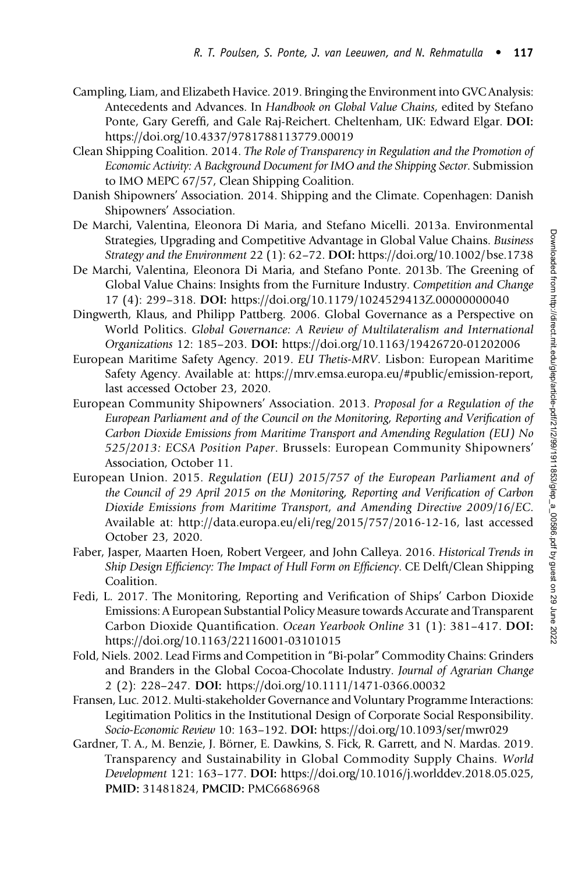- Campling, Liam, and Elizabeth Havice. 2019. Bringing the Environment into GVC Analysis: Antecedents and Advances. In Handbook on Global Value Chains, edited by Stefano Ponte, Gary Gereffi, and Gale Raj-Reichert. Cheltenham, UK: Edward Elgar. DOI: <https://doi.org/10.4337/9781788113779.00019>
- Clean Shipping Coalition. 2014. The Role of Transparency in Regulation and the Promotion of Economic Activity: A Background Document for IMO and the Shipping Sector. Submission to IMO MEPC 67/57, Clean Shipping Coalition.
- Danish Shipowners' Association. 2014. Shipping and the Climate. Copenhagen: Danish Shipowners' Association.
- De Marchi, Valentina, Eleonora Di Maria, and Stefano Micelli. 2013a. Environmental Strategies, Upgrading and Competitive Advantage in Global Value Chains. Business Strategy and the Environment 22 (1): 62–72. DOI: <https://doi.org/10.1002/bse.1738>
- De Marchi, Valentina, Eleonora Di Maria, and Stefano Ponte. 2013b. The Greening of Global Value Chains: Insights from the Furniture Industry. Competition and Change 17 (4): 299–318. DOI: <https://doi.org/10.1179/1024529413Z.00000000040>
- Dingwerth, Klaus, and Philipp Pattberg. 2006. Global Governance as a Perspective on World Politics. Global Governance: A Review of Multilateralism and International Organizations 12: 185–203. DOI: <https://doi.org/10.1163/19426720-01202006>
- European Maritime Safety Agency. 2019. EU Thetis-MRV. Lisbon: European Maritime Safety Agency. Available at: [https://mrv.emsa.europa.eu/#public/emission-report,](https://mrv.emsa.europa.eu/#public/emission-report) last accessed October 23, 2020.
- European Community Shipowners' Association. 2013. Proposal for a Regulation of the European Parliament and of the Council on the Monitoring, Reporting and Verification of Carbon Dioxide Emissions from Maritime Transport and Amending Regulation (EU) No 525/2013: ECSA Position Paper. Brussels: European Community Shipowners' Association, October 11.
- European Union. 2015. Regulation (EU) 2015/757 of the European Parliament and of the Council of 29 April 2015 on the Monitoring, Reporting and Verification of Carbon Dioxide Emissions from Maritime Transport, and Amending Directive 2009/16/EC. Available at:<http://data.europa.eu/eli/reg/2015/757/2016-12-16>, last accessed October 23, 2020.
- Faber, Jasper, Maarten Hoen, Robert Vergeer, and John Calleya. 2016. Historical Trends in Ship Design Efficiency: The Impact of Hull Form on Efficiency. CE Delft/Clean Shipping Coalition.
- Fedi, L. 2017. The Monitoring, Reporting and Verification of Ships' Carbon Dioxide Emissions: A European Substantial Policy Measure towards Accurate and Transparent Carbon Dioxide Quantification. Ocean Yearbook Online 31 (1): 381–417. DOI: <https://doi.org/10.1163/22116001-03101015>
- Fold, Niels. 2002. Lead Firms and Competition in "Bi-polar" Commodity Chains: Grinders and Branders in the Global Cocoa-Chocolate Industry. Journal of Agrarian Change 2 (2): 228–247. DOI: <https://doi.org/10.1111/1471-0366.00032>
- Fransen, Luc. 2012. Multi-stakeholder Governance and Voluntary Programme Interactions: Legitimation Politics in the Institutional Design of Corporate Social Responsibility. Socio-Economic Review 10: 163–192. DOI: <https://doi.org/10.1093/ser/mwr029>
- Gardner, T. A., M. Benzie, J. Börner, E. Dawkins, S. Fick, R. Garrett, and N. Mardas. 2019. Transparency and Sustainability in Global Commodity Supply Chains. World Development 121: 163–177. DOI: [https://doi.org/10.1016/j.worlddev.2018.05.025,](https://doi.org/10.1016/j.worlddev.2018.05.025) PMID: [31481824](https://europepmc.org/article/MED/31481824), PMCID: [PMC6686968](https://www.ncbi.nlm.nih.gov/pmc/articles/PMC6686968)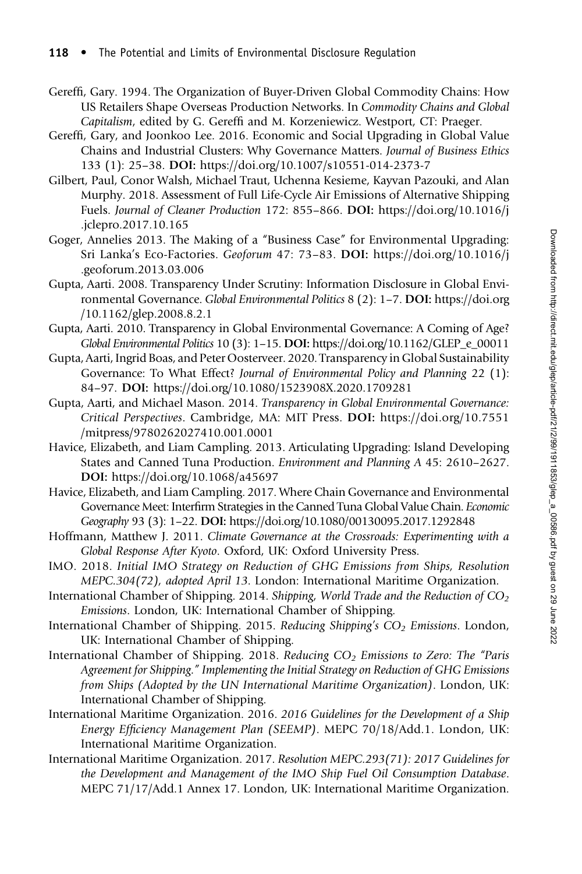- Gereffi, Gary. 1994. The Organization of Buyer-Driven Global Commodity Chains: How US Retailers Shape Overseas Production Networks. In Commodity Chains and Global Capitalism, edited by G. Gereffi and M. Korzeniewicz. Westport, CT: Praeger.
- Gereffi, Gary, and Joonkoo Lee. 2016. Economic and Social Upgrading in Global Value Chains and Industrial Clusters: Why Governance Matters. Journal of Business Ethics 133 (1): 25–38. DOI: <https://doi.org/10.1007/s10551-014-2373-7>
- Gilbert, Paul, Conor Walsh, Michael Traut, Uchenna Kesieme, Kayvan Pazouki, and Alan Murphy. 2018. Assessment of Full Life-Cycle Air Emissions of Alternative Shipping Fuels. Journal of Cleaner Production 172: 855–866. DOI: [https://doi.org/10.1016/j](https://doi.org/10.1016/j.jclepro.2017.10.165) [.jclepro.2017.10.165](https://doi.org/10.1016/j.jclepro.2017.10.165)
- Goger, Annelies 2013. The Making of a "Business Case" for Environmental Upgrading: Sri Lanka's Eco-Factories. Geoforum 47: 73–83. DOI: [https://doi.org/10.1016/j](https://doi.org/10.1016/j.geoforum.2013.03.006) [.geoforum.2013.03.006](https://doi.org/10.1016/j.geoforum.2013.03.006)
- Gupta, Aarti. 2008. Transparency Under Scrutiny: Information Disclosure in Global Environmental Governance. Global Environmental Politics 8 (2): 1–7. DOI: [https://doi.org](https://doi.org/10.1162/glep.2008.8.2.1) [/10.1162/glep.2008.8.2.1](https://doi.org/10.1162/glep.2008.8.2.1)
- Gupta, Aarti. 2010. Transparency in Global Environmental Governance: A Coming of Age? Global Environmental Politics 10 (3): 1–15. DOI: [https://doi.org/10.1162/GLEP\\_e\\_00011](https://doi.org/10.1162/GLEP_e_00011)
- Gupta, Aarti, Ingrid Boas, and Peter Oosterveer. 2020. Transparency in Global Sustainability Governance: To What Effect? Journal of Environmental Policy and Planning 22 (1): 84–97. DOI: <https://doi.org/10.1080/1523908X.2020.1709281>
- Gupta, Aarti, and Michael Mason. 2014. Transparency in Global Environmental Governance: Critical Perspectives. Cambridge, MA: MIT Press. DOI: [https://doi.org/10.7551](https://doi.org/10.7551/mitpress/9780262027410.001.0001) [/mitpress/9780262027410.001.0001](https://doi.org/10.7551/mitpress/9780262027410.001.0001)
- Havice, Elizabeth, and Liam Campling. 2013. Articulating Upgrading: Island Developing States and Canned Tuna Production. Environment and Planning A 45: 2610–2627. DOI: <https://doi.org/10.1068/a45697>
- Havice, Elizabeth, and Liam Campling. 2017. Where Chain Governance and Environmental Governance Meet: Interfirm Strategies in the Canned Tuna Global Value Chain. Economic Geography 93 (3): 1–22. DOI: <https://doi.org/10.1080/00130095.2017.1292848>
- Hoffmann, Matthew J. 2011. Climate Governance at the Crossroads: Experimenting with a Global Response After Kyoto. Oxford, UK: Oxford University Press.
- IMO. 2018. Initial IMO Strategy on Reduction of GHG Emissions from Ships, Resolution MEPC.304(72), adopted April 13. London: International Maritime Organization.
- International Chamber of Shipping. 2014. Shipping, World Trade and the Reduction of  $CO<sub>2</sub>$ Emissions. London, UK: International Chamber of Shipping.
- International Chamber of Shipping. 2015. Reducing Shipping's CO<sub>2</sub> Emissions. London, UK: International Chamber of Shipping.
- International Chamber of Shipping. 2018. Reducing CO<sub>2</sub> Emissions to Zero: The "Paris Agreement for Shipping." Implementing the Initial Strategy on Reduction of GHG Emissions from Ships (Adopted by the UN International Maritime Organization). London, UK: International Chamber of Shipping.
- International Maritime Organization. 2016. 2016 Guidelines for the Development of a Ship Energy Efficiency Management Plan (SEEMP). MEPC 70/18/Add.1. London, UK: International Maritime Organization.
- International Maritime Organization. 2017. Resolution MEPC.293(71): 2017 Guidelines for the Development and Management of the IMO Ship Fuel Oil Consumption Database. MEPC 71/17/Add.1 Annex 17. London, UK: International Maritime Organization.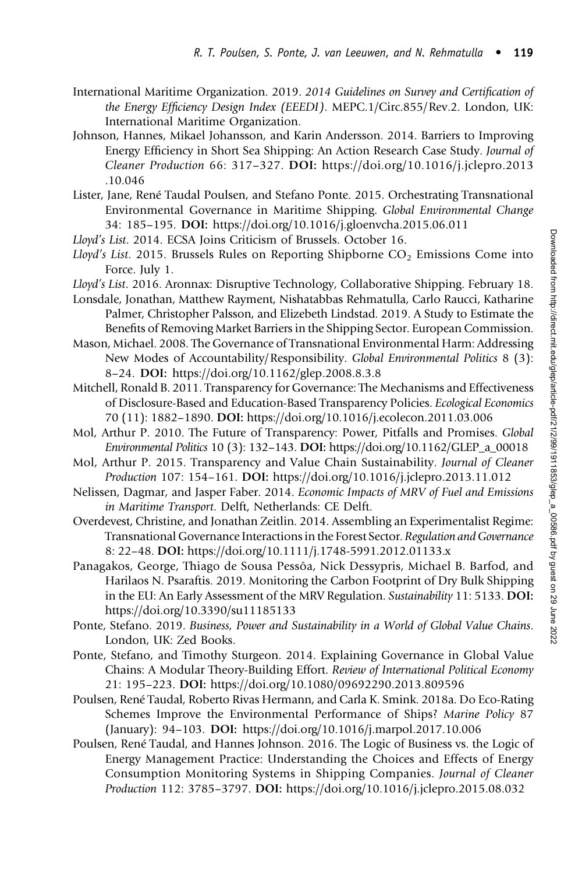- International Maritime Organization. 2019. 2014 Guidelines on Survey and Certification of the Energy Efficiency Design Index (EEEDI). MEPC.1/Circ.855/Rev.2. London, UK: International Maritime Organization.
- Johnson, Hannes, Mikael Johansson, and Karin Andersson. 2014. Barriers to Improving Energy Efficiency in Short Sea Shipping: An Action Research Case Study. Journal of Cleaner Production 66: 317–327. DOI: [https://doi.org/10.1016/j.jclepro.2013](https://doi.org/10.1016/j.jclepro.2013.10.046) [.10.046](https://doi.org/10.1016/j.jclepro.2013.10.046)
- Lister, Jane, René Taudal Poulsen, and Stefano Ponte. 2015. Orchestrating Transnational Environmental Governance in Maritime Shipping. Global Environmental Change 34: 185–195. DOI: <https://doi.org/10.1016/j.gloenvcha.2015.06.011>
- Lloyd's List. 2014. ECSA Joins Criticism of Brussels. October 16.
- Lloyd's List. 2015. Brussels Rules on Reporting Shipborne  $CO<sub>2</sub>$  Emissions Come into Force. July 1.
- Lloyd's List. 2016. Aronnax: Disruptive Technology, Collaborative Shipping. February 18.
- Lonsdale, Jonathan, Matthew Rayment, Nishatabbas Rehmatulla, Carlo Raucci, Katharine Palmer, Christopher Palsson, and Elizebeth Lindstad. 2019. A Study to Estimate the Benefits of Removing Market Barriers in the Shipping Sector. European Commission.
- Mason, Michael. 2008. The Governance of Transnational Environmental Harm: Addressing New Modes of Accountability/Responsibility. Global Environmental Politics 8 (3): 8–24. DOI: <https://doi.org/10.1162/glep.2008.8.3.8>
- Mitchell, Ronald B. 2011. Transparency for Governance: The Mechanisms and Effectiveness of Disclosure-Based and Education-Based Transparency Policies. Ecological Economics 70 (11): 1882–1890. DOI: <https://doi.org/10.1016/j.ecolecon.2011.03.006>
- Mol, Arthur P. 2010. The Future of Transparency: Power, Pitfalls and Promises. Global Environmental Politics 10 (3): 132–143. DOI: [https://doi.org/10.1162/GLEP\\_a\\_00018](https://doi.org/10.1162/GLEP_a_00018)
- Mol, Arthur P. 2015. Transparency and Value Chain Sustainability. Journal of Cleaner Production 107: 154–161. DOI: <https://doi.org/10.1016/j.jclepro.2013.11.012>
- Nelissen, Dagmar, and Jasper Faber. 2014. Economic Impacts of MRV of Fuel and Emissions in Maritime Transport. Delft, Netherlands: CE Delft.
- Overdevest, Christine, and Jonathan Zeitlin. 2014. Assembling an Experimentalist Regime: Transnational Governance Interactions in the Forest Sector. Regulation and Governance 8: 22–48. DOI: <https://doi.org/10.1111/j.1748-5991.2012.01133.x>
- Panagakos, George, Thiago de Sousa Pessôa, Nick Dessypris, Michael B. Barfod, and Harilaos N. Psaraftis. 2019. Monitoring the Carbon Footprint of Dry Bulk Shipping in the EU: An Early Assessment of the MRV Regulation. Sustainability 11: 5133. DOI: <https://doi.org/10.3390/su11185133>
- Ponte, Stefano. 2019. Business, Power and Sustainability in a World of Global Value Chains. London, UK: Zed Books.
- Ponte, Stefano, and Timothy Sturgeon. 2014. Explaining Governance in Global Value Chains: A Modular Theory-Building Effort. Review of International Political Economy 21: 195–223. DOI: <https://doi.org/10.1080/09692290.2013.809596>
- Poulsen, René Taudal, Roberto Rivas Hermann, and Carla K. Smink. 2018a. Do Eco-Rating Schemes Improve the Environmental Performance of Ships? Marine Policy 87 (January): 94–103. DOI: <https://doi.org/10.1016/j.marpol.2017.10.006>
- Poulsen, René Taudal, and Hannes Johnson. 2016. The Logic of Business vs. the Logic of Energy Management Practice: Understanding the Choices and Effects of Energy Consumption Monitoring Systems in Shipping Companies. Journal of Cleaner Production 112: 3785–3797. DOI: <https://doi.org/10.1016/j.jclepro.2015.08.032>